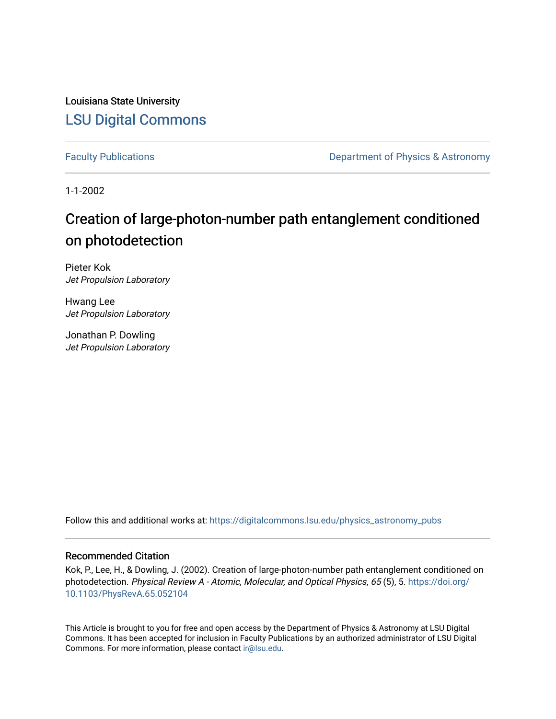Louisiana State University [LSU Digital Commons](https://digitalcommons.lsu.edu/)

[Faculty Publications](https://digitalcommons.lsu.edu/physics_astronomy_pubs) **Exercise 2 and Table 2 and Table 2 and Table 2 and Table 2 and Table 2 and Table 2 and Table 2 and Table 2 and Table 2 and Table 2 and Table 2 and Table 2 and Table 2 and Table 2 and Table 2 and Table** 

1-1-2002

# Creation of large-photon-number path entanglement conditioned on photodetection

Pieter Kok Jet Propulsion Laboratory

Hwang Lee Jet Propulsion Laboratory

Jonathan P. Dowling Jet Propulsion Laboratory

Follow this and additional works at: [https://digitalcommons.lsu.edu/physics\\_astronomy\\_pubs](https://digitalcommons.lsu.edu/physics_astronomy_pubs?utm_source=digitalcommons.lsu.edu%2Fphysics_astronomy_pubs%2F3180&utm_medium=PDF&utm_campaign=PDFCoverPages) 

# Recommended Citation

Kok, P., Lee, H., & Dowling, J. (2002). Creation of large-photon-number path entanglement conditioned on photodetection. Physical Review A - Atomic, Molecular, and Optical Physics, 65 (5), 5. [https://doi.org/](https://doi.org/10.1103/PhysRevA.65.052104) [10.1103/PhysRevA.65.052104](https://doi.org/10.1103/PhysRevA.65.052104)

This Article is brought to you for free and open access by the Department of Physics & Astronomy at LSU Digital Commons. It has been accepted for inclusion in Faculty Publications by an authorized administrator of LSU Digital Commons. For more information, please contact [ir@lsu.edu](mailto:ir@lsu.edu).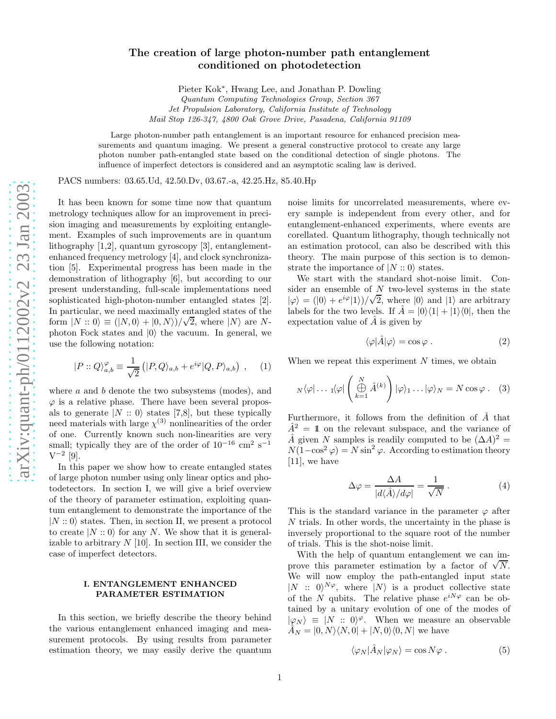# The creation of large photon-number path entanglement conditioned on photodetection

Pieter Kok ∗ , Hwang Lee, and Jonathan P. Dowling

Quantum Computing Technologies Group, Section 367

Jet Propulsion Laboratory, California Institute of Technology

Mail Stop 126-347, 4800 Oak Grove Drive, Pasadena, California 91109

Large photon-number path entanglement is an important resource for enhanced precision measurements and quantum imaging. We present a general constructive protocol to create any large photon number path-entangled state based on the conditional detection of single photons. The influence of imperfect detectors is considered and an asymptotic scaling law is derived.

PACS numbers: 03.65.Ud, 42.50.Dv, 03.67.-a, 42.25.Hz, 85.40.Hp

It has been known for some time now that quantum metrology techniques allow for an improvement in precision imaging and measurements by exploiting entanglement. Examples of such improvements are in quantum lithography [1,2], quantum gyroscopy [3], entanglementenhanced frequency metrology [4], and clock synchronization [5]. Experimental progress has been made in the demonstration of lithography [6], but according to our present understanding, full-scale implementations need sophisticated high-photon-number entangled states [2]. In particular, we need maximally entangled states of the form  $|N::0\rangle \equiv (|N,0\rangle + |0,N\rangle)/\sqrt{2}$ , where  $|N\rangle$  are Nphoton Fock states and  $|0\rangle$  the vacuum. In general, we use the following notation:

$$
|P::Q\rangle_{a,b}^{\varphi} \equiv \frac{1}{\sqrt{2}} (|P,Q\rangle_{a,b} + e^{i\varphi}|Q,P\rangle_{a,b}), \quad (1)
$$

where a and b denote the two subsystems (modes), and  $\varphi$  is a relative phase. There have been several proposals to generate  $|N::0\rangle$  states [7,8], but these typically need materials with large  $\chi^{(3)}$  nonlinearities of the order of one. Currently known such non-linearities are very small; typically they are of the order of  $10^{-16}$  cm<sup>2</sup> s<sup>-1</sup>  $V^{-2}$  [9].

In this paper we show how to create entangled states of large photon number using only linear optics and photodetectors. In section I, we will give a brief overview of the theory of parameter estimation, exploiting quantum entanglement to demonstrate the importance of the  $|N::0\rangle$  states. Then, in section II, we present a protocol to create  $|N::0\rangle$  for any N. We show that it is generalizable to arbitrary  $N$  [10]. In section III, we consider the case of imperfect detectors.

## I. ENTANGLEMENT ENHANCED PARAMETER ESTIMATION

In this section, we briefly describe the theory behind the various entanglement enhanced imaging and measurement protocols. By using results from parameter estimation theory, we may easily derive the quantum noise limits for uncorrelated measurements, where every sample is independent from every other, and for entanglement-enhanced experiments, where events are corellated. Quantum lithography, though technically not an estimation protocol, can also be described with this theory. The main purpose of this section is to demonstrate the importance of  $|N::0\rangle$  states.

We start with the standard shot-noise limit. Consider an ensemble of  $N$  two-level systems in the state  $|\varphi\rangle = (|0\rangle + e^{i\varphi}|1\rangle)/\sqrt{2}$ , where  $|0\rangle$  and  $|1\rangle$  are arbitrary labels for the two levels. If  $\hat{A} = |0\rangle\langle 1| + |1\rangle\langle 0|$ , then the expectation value of  $\hat{A}$  is given by

$$
\langle \varphi | \hat{A} | \varphi \rangle = \cos \varphi . \tag{2}
$$

When we repeat this experiment N times, we obtain

$$
N\langle \varphi | \ldots \, 1 \langle \varphi | \left( \bigoplus_{k=1}^N \hat{A}^{(k)} \right) | \varphi \rangle_1 \ldots | \varphi \rangle_N = N \cos \varphi \, . \quad (3)
$$

Furthermore, it follows from the definition of  $\hat{A}$  that  $\hat{A}^2 = 1$  on the relevant subspace, and the variance of  $\hat{A}$  given N samples is readily computed to be  $(\Delta A)^2$  =  $N(1-\cos^2\varphi) = N\sin^2\varphi$ . According to estimation theory [11], we have

$$
\Delta \varphi = \frac{\Delta A}{|d\langle \hat{A}\rangle/d\varphi|} = \frac{1}{\sqrt{N}}.
$$
 (4)

This is the standard variance in the parameter  $\varphi$  after N trials. In other words, the uncertainty in the phase is inversely proportional to the square root of the number of trials. This is the shot-noise limit.

With the help of quantum entanglement we can improve this parameter estimation by a factor of  $\sqrt{N}$ . We will now employ the path-entangled input state  $|N|$ : 0)<sup>N $\varphi$ </sup>, where  $|N\rangle$  is a product collective state of the N qubits. The relative phase  $e^{iN\varphi}$  can be obtained by a unitary evolution of one of the modes of  $|\varphi_N\rangle \equiv |N :: 0\rangle^{\varphi}$ . When we measure an observable  $\hat{A}_N = |0, N\rangle\langle N, 0| + |N, 0\rangle\langle 0, N|$  we have

$$
\langle \varphi_N | \hat{A}_N | \varphi_N \rangle = \cos N \varphi . \tag{5}
$$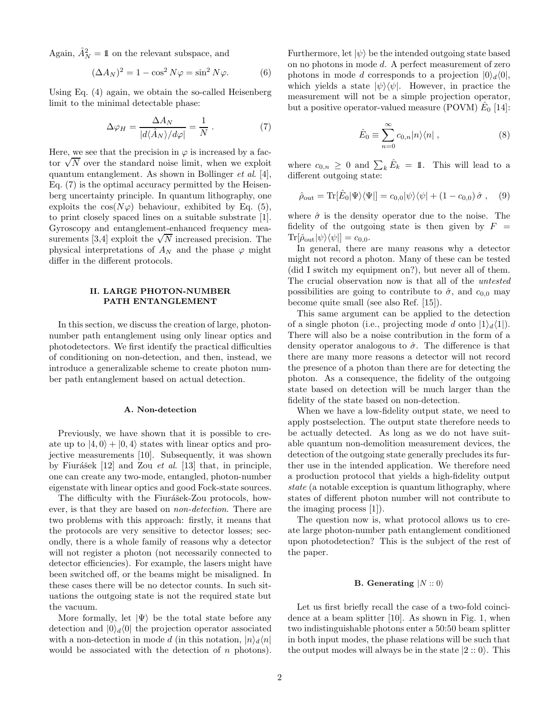Again,  $\hat{A}_N^2 = \mathbb{1}$  on the relevant subspace, and

$$
(\Delta A_N)^2 = 1 - \cos^2 N\varphi = \sin^2 N\varphi.
$$
 (6)

Using Eq. (4) again, we obtain the so-called Heisenberg limit to the minimal detectable phase:

$$
\Delta \varphi_H = \frac{\Delta A_N}{|d\langle \hat{A}_N \rangle / d\varphi|} = \frac{1}{N} . \tag{7}
$$

Here, we see that the precision in  $\varphi$  is increased by a factor  $\sqrt{N}$  over the standard noise limit, when we exploit quantum entanglement. As shown in Bollinger et al. [4], Eq. (7) is the optimal accuracy permitted by the Heisenberg uncertainty principle. In quantum lithography, one exploits the  $cos(N\varphi)$  behaviour, exhibited by Eq. (5), to print closely spaced lines on a suitable substrate [1]. Gyroscopy and entanglement-enhanced frequency measurements [3,4] exploit the  $\sqrt{N}$  increased precision. The physical interpretations of  $A_N$  and the phase  $\varphi$  might differ in the different protocols.

## II. LARGE PHOTON-NUMBER PATH ENTANGLEMENT

In this section, we discuss the creation of large, photonnumber path entanglement using only linear optics and photodetectors. We first identify the practical difficulties of conditioning on non-detection, and then, instead, we introduce a generalizable scheme to create photon number path entanglement based on actual detection.

## A. Non-detection

Previously, we have shown that it is possible to create up to  $|4,0\rangle + |0,4\rangle$  states with linear optics and projective measurements [10]. Subsequently, it was shown by Fiurášek  $[12]$  and Zou *et al.*  $[13]$  that, in principle, one can create any two-mode, entangled, photon-number eigenstate with linear optics and good Fock-state sources.

The difficulty with the Fiurášek-Zou protocols, however, is that they are based on non-detection. There are two problems with this approach: firstly, it means that the protocols are very sensitive to detector losses; secondly, there is a whole family of reasons why a detector will not register a photon (not necessarily connected to detector efficiencies). For example, the lasers might have been switched off, or the beams might be misaligned. In these cases there will be no detector counts. In such situations the outgoing state is not the required state but the vacuum.

More formally, let  $|\Psi\rangle$  be the total state before any detection and  $|0\rangle_d\langle0|$  the projection operator associated with a non-detection in mode d (in this notation,  $|n\rangle_d\langle n|$ ) would be associated with the detection of  $n$  photons).

Furthermore, let  $|\psi\rangle$  be the intended outgoing state based on no photons in mode d. A perfect measurement of zero photons in mode d corresponds to a projection  $|0\rangle_d\langle0|$ , which yields a state  $|\psi\rangle\langle\psi|$ . However, in practice the measurement will not be a simple projection operator, but a positive operator-valued measure (POVM)  $\hat{E}_0$  [14]:

$$
\hat{E}_0 \equiv \sum_{n=0}^{\infty} c_{0,n} |n\rangle\langle n| \,, \tag{8}
$$

where  $c_{0,n} \geq 0$  and  $\sum_k \hat{E}_k = \mathbb{1}$ . This will lead to a different outgoing state:

$$
\hat{\rho}_{\text{out}} = \text{Tr}[\hat{E}_0|\Psi\rangle\langle\Psi|] = c_{0,0}|\psi\rangle\langle\psi| + (1 - c_{0,0})\hat{\sigma}, \quad (9)
$$

where  $\hat{\sigma}$  is the density operator due to the noise. The fidelity of the outgoing state is then given by  $F =$  $\text{Tr}[\hat{\rho}_{\text{out}}|\psi\rangle\langle\psi|] = c_{0.0}.$ 

In general, there are many reasons why a detector might not record a photon. Many of these can be tested (did I switch my equipment on?), but never all of them. The crucial observation now is that all of the untested possibilities are going to contribute to  $\hat{\sigma}$ , and  $c_{0,0}$  may become quite small (see also Ref. [15]).

This same argument can be applied to the detection of a single photon (i.e., projecting mode d onto  $|1\rangle_d\langle 1|$ ). There will also be a noise contribution in the form of a density operator analogous to  $\hat{\sigma}$ . The difference is that there are many more reasons a detector will not record the presence of a photon than there are for detecting the photon. As a consequence, the fidelity of the outgoing state based on detection will be much larger than the fidelity of the state based on non-detection.

When we have a low-fidelity output state, we need to apply postselection. The output state therefore needs to be actually detected. As long as we do not have suitable quantum non-demolition measurement devices, the detection of the outgoing state generally precludes its further use in the intended application. We therefore need a production protocol that yields a high-fidelity output state (a notable exception is quantum lithography, where states of different photon number will not contribute to the imaging process [1]).

The question now is, what protocol allows us to create large photon-number path entanglement conditioned upon photodetection? This is the subject of the rest of the paper.

#### **B.** Generating  $|N::0\rangle$

Let us first briefly recall the case of a two-fold coincidence at a beam splitter [10]. As shown in Fig. 1, when two indistinguishable photons enter a 50:50 beam splitter in both input modes, the phase relations will be such that the output modes will always be in the state  $(2:: 0)$ . This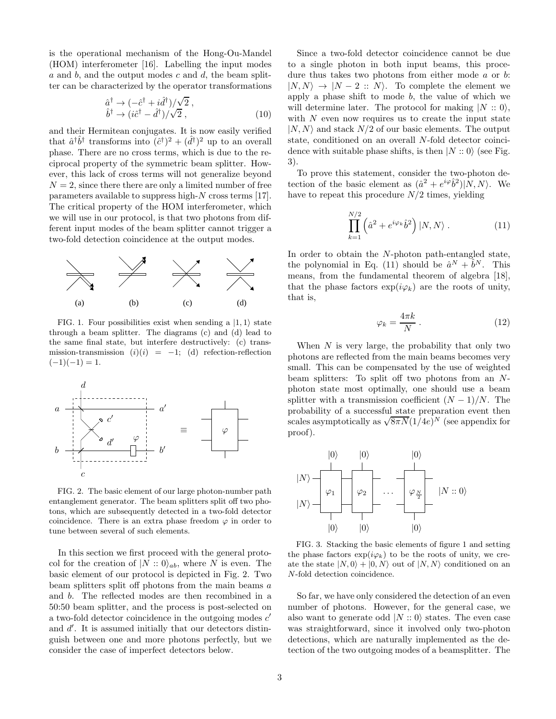is the operational mechanism of the Hong-Ou-Mandel (HOM) interferometer [16]. Labelling the input modes  $a$  and  $b$ , and the output modes  $c$  and  $d$ , the beam splitter can be characterized by the operator transformations

$$
\begin{aligned}\n\hat{a}^{\dagger} &\to (-\hat{c}^{\dagger} + i\hat{d}^{\dagger})/\sqrt{2} \;, \\
\hat{b}^{\dagger} &\to (i\hat{c}^{\dagger} - \hat{d}^{\dagger})/\sqrt{2} \;, \n\end{aligned} \tag{10}
$$

and their Hermitean conjugates. It is now easily verified that  $\hat{a}^\dagger \hat{b}^\dagger$  transforms into  $(\hat{c}^\dagger)^2 + (\hat{d}^\dagger)^2$  up to an overall phase. There are no cross terms, which is due to the reciprocal property of the symmetric beam splitter. However, this lack of cross terms will not generalize beyond  $N = 2$ , since there there are only a limited number of free parameters available to suppress high-N cross terms [17]. The critical property of the HOM interferometer, which we will use in our protocol, is that two photons from different input modes of the beam splitter cannot trigger a two-fold detection coincidence at the output modes.



FIG. 1. Four possibilities exist when sending a  $|1, 1\rangle$  state through a beam splitter. The diagrams (c) and (d) lead to the same final state, but interfere destructively: (c) transmission-transmission  $(i)(i) = -1$ ; (d) refection-reflection  $(-1)(-1) = 1.$ 



FIG. 2. The basic element of our large photon-number path entanglement generator. The beam splitters split off two photons, which are subsequently detected in a two-fold detector coincidence. There is an extra phase freedom  $\varphi$  in order to tune between several of such elements.

In this section we first proceed with the general protocol for the creation of  $|N::0\rangle_{ab}$ , where N is even. The basic element of our protocol is depicted in Fig. 2. Two beam splitters split off photons from the main beams  $a$ and b. The reflected modes are then recombined in a 50:50 beam splitter, and the process is post-selected on a two-fold detector coincidence in the outgoing modes  $c'$ and  $d'$ . It is assumed initially that our detectors distinguish between one and more photons perfectly, but we consider the case of imperfect detectors below.

Since a two-fold detector coincidence cannot be due to a single photon in both input beams, this procedure thus takes two photons from either mode  $a$  or  $b$ :  $|N, N\rangle \rightarrow |N-2::N\rangle$ . To complete the element we apply a phase shift to mode  $b$ , the value of which we will determine later. The protocol for making  $|N::0\rangle$ , with  $N$  even now requires us to create the input state  $|N, N\rangle$  and stack  $N/2$  of our basic elements. The output state, conditioned on an overall N-fold detector coincidence with suitable phase shifts, is then  $|N::0\rangle$  (see Fig. 3).

To prove this statement, consider the two-photon detection of the basic element as  $(\hat{a}^2 + e^{i\varphi} \hat{b}^2)|N, N\rangle$ . We have to repeat this procedure  $N/2$  times, yielding

$$
\prod_{k=1}^{N/2} \left( \hat{a}^2 + e^{i\varphi_k} \hat{b}^2 \right) |N, N\rangle . \tag{11}
$$

In order to obtain the  $N$ -photon path-entangled state, the polynomial in Eq. (11) should be  $\hat{a}^N + \hat{b}^N$ . This means, from the fundamental theorem of algebra [18], that the phase factors  $\exp(i\varphi_k)$  are the roots of unity, that is,

$$
\varphi_k = \frac{4\pi k}{N} \,. \tag{12}
$$

When  $N$  is very large, the probability that only two photons are reflected from the main beams becomes very small. This can be compensated by the use of weighted beam splitters: To split off two photons from an  $N$ photon state most optimally, one should use a beam splitter with a transmission coefficient  $(N-1)/N$ . The probability of a successful state preparation event then scales asymptotically as  $\sqrt{8\pi N}(1/4e)^N$  (see appendix for proof).



FIG. 3. Stacking the basic elements of figure 1 and setting the phase factors  $\exp(i\varphi_k)$  to be the roots of unity, we create the state  $|N, 0\rangle + |0, N\rangle$  out of  $|N, N\rangle$  conditioned on an N-fold detection coincidence.

So far, we have only considered the detection of an even number of photons. However, for the general case, we also want to generate odd  $|N::0\rangle$  states. The even case was straightforward, since it involved only two-photon detections, which are naturally implemented as the detection of the two outgoing modes of a beamsplitter. The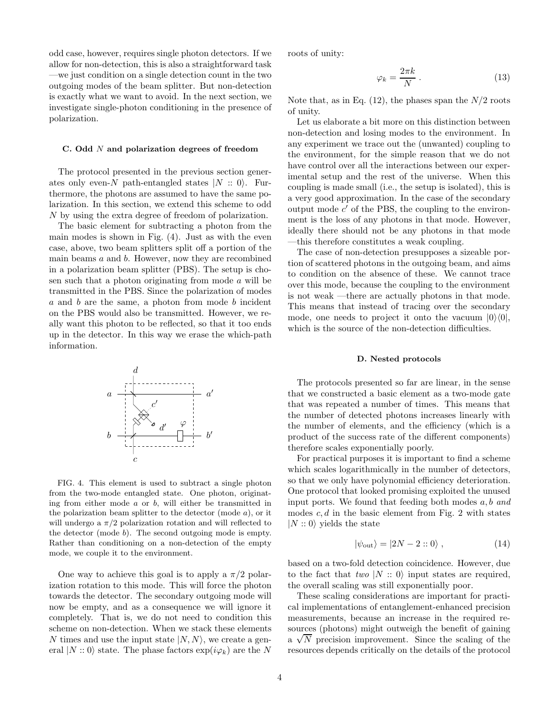odd case, however, requires single photon detectors. If we allow for non-detection, this is also a straightforward task —we just condition on a single detection count in the two outgoing modes of the beam splitter. But non-detection is exactly what we want to avoid. In the next section, we investigate single-photon conditioning in the presence of polarization.

#### C. Odd N and polarization degrees of freedom

The protocol presented in the previous section generates only even-N path-entangled states  $|N::0\rangle$ . Furthermore, the photons are assumed to have the same polarization. In this section, we extend this scheme to odd N by using the extra degree of freedom of polarization.

The basic element for subtracting a photon from the main modes is shown in Fig. (4). Just as with the even case, above, two beam splitters split off a portion of the main beams  $a$  and  $b$ . However, now they are recombined in a polarization beam splitter (PBS). The setup is chosen such that a photon originating from mode a will be transmitted in the PBS. Since the polarization of modes a and b are the same, a photon from mode b incident on the PBS would also be transmitted. However, we really want this photon to be reflected, so that it too ends up in the detector. In this way we erase the which-path information.



FIG. 4. This element is used to subtract a single photon from the two-mode entangled state. One photon, originating from either mode a or b, will either be transmitted in the polarization beam splitter to the detector (mode  $a$ ), or it will undergo a  $\pi/2$  polarization rotation and will reflected to the detector (mode  $b$ ). The second outgoing mode is empty. Rather than conditioning on a non-detection of the empty mode, we couple it to the environment.

One way to achieve this goal is to apply a  $\pi/2$  polarization rotation to this mode. This will force the photon towards the detector. The secondary outgoing mode will now be empty, and as a consequence we will ignore it completely. That is, we do not need to condition this scheme on non-detection. When we stack these elements N times and use the input state  $|N, N\rangle$ , we create a general  $|N::0\rangle$  state. The phase factors  $\exp(i\varphi_k)$  are the N

roots of unity:

$$
\varphi_k = \frac{2\pi k}{N} \,. \tag{13}
$$

Note that, as in Eq.  $(12)$ , the phases span the  $N/2$  roots of unity.

Let us elaborate a bit more on this distinction between non-detection and losing modes to the environment. In any experiment we trace out the (unwanted) coupling to the environment, for the simple reason that we do not have control over all the interactions between our experimental setup and the rest of the universe. When this coupling is made small (i.e., the setup is isolated), this is a very good approximation. In the case of the secondary output mode  $c'$  of the PBS, the coupling to the environment is the loss of any photons in that mode. However, ideally there should not be any photons in that mode —this therefore constitutes a weak coupling.

The case of non-detection presupposes a sizeable portion of scattered photons in the outgoing beam, and aims to condition on the absence of these. We cannot trace over this mode, because the coupling to the environment is not weak —there are actually photons in that mode. This means that instead of tracing over the secondary mode, one needs to project it onto the vacuum  $|0\rangle\langle0|$ , which is the source of the non-detection difficulties.

#### D. Nested protocols

The protocols presented so far are linear, in the sense that we constructed a basic element as a two-mode gate that was repeated a number of times. This means that the number of detected photons increases linearly with the number of elements, and the efficiency (which is a product of the success rate of the different components) therefore scales exponentially poorly.

For practical purposes it is important to find a scheme which scales logarithmically in the number of detectors, so that we only have polynomial efficiency deterioration. One protocol that looked promising exploited the unused input ports. We found that feeding both modes  $a, b$  and modes  $c, d$  in the basic element from Fig. 2 with states  $|N::0\rangle$  yields the state

$$
|\psi_{\text{out}}\rangle = |2N - 2::0\rangle ,\qquad (14)
$$

based on a two-fold detection coincidence. However, due to the fact that two  $|N::0\rangle$  input states are required, the overall scaling was still exponentially poor.

These scaling considerations are important for practical implementations of entanglement-enhanced precision measurements, because an increase in the required resources (photons) might outweigh the benefit of gaining  $\alpha \sqrt{N}$  precision improvement. Since the scaling of the resources depends critically on the details of the protocol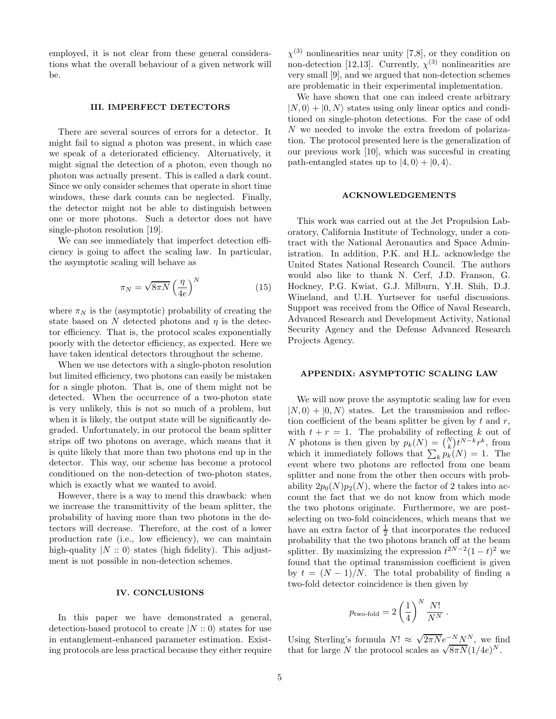employed, it is not clear from these general considerations what the overall behaviour of a given network will be.

#### III. IMPERFECT DETECTORS

There are several sources of errors for a detector. It might fail to signal a photon was present, in which case we speak of a deteriorated efficiency. Alternatively, it might signal the detection of a photon, even though no photon was actually present. This is called a dark count. Since we only consider schemes that operate in short time windows, these dark counts can be neglected. Finally, the detector might not be able to distinguish between one or more photons. Such a detector does not have single-photon resolution [19].

We can see immediately that imperfect detection efficiency is going to affect the scaling law. In particular, the asymptotic scaling will behave as

$$
\pi_N = \sqrt{8\pi N} \left(\frac{\eta}{4e}\right)^N \tag{15}
$$

where  $\pi_N$  is the (asymptotic) probability of creating the state based on  $N$  detected photons and  $\eta$  is the detector efficiency. That is, the protocol scales exponentially poorly with the detector efficiency, as expected. Here we have taken identical detectors throughout the scheme.

When we use detectors with a single-photon resolution but limited efficiency, two photons can easily be mistaken for a single photon. That is, one of them might not be detected. When the occurrence of a two-photon state is very unlikely, this is not so much of a problem, but when it is likely, the output state will be significantly degraded. Unfortunately, in our protocol the beam splitter strips off two photons on average, which means that it is quite likely that more than two photons end up in the detector. This way, our scheme has become a protocol conditioned on the non-detection of two-photon states, which is exactly what we wanted to avoid.

However, there is a way to mend this drawback: when we increase the transmittivity of the beam splitter, the probability of having more than two photons in the detectors will decrease. Therefore, at the cost of a lower production rate (i.e., low efficiency), we can maintain high-quality  $|N::0\rangle$  states (high fidelity). This adjustment is not possible in non-detection schemes.

#### IV. CONCLUSIONS

In this paper we have demonstrated a general, detection-based protocol to create  $|N::0\rangle$  states for use in entanglement-enhanced parameter estimation. Existing protocols are less practical because they either require

 $\chi^{(3)}$  nonlinearities near unity [7,8], or they condition on non-detection [12,13]. Currently,  $\chi^{(3)}$  nonlinearities are very small [9], and we argued that non-detection schemes are problematic in their experimental implementation.

We have shown that one can indeed create arbitrary  $|N, 0\rangle + |0, N\rangle$  states using only linear optics and conditioned on single-photon detections. For the case of odd N we needed to invoke the extra freedom of polarization. The protocol presented here is the generalization of our previous work [10], which was succesful in creating path-entangled states up to  $|4,0\rangle + |0,4\rangle$ .

#### ACKNOWLEDGEMENTS

This work was carried out at the Jet Propulsion Laboratory, California Institute of Technology, under a contract with the National Aeronautics and Space Administration. In addition, P.K. and H.L. acknowledge the United States National Research Council. The authors would also like to thank N. Cerf, J.D. Franson, G. Hockney, P.G. Kwiat, G.J. Milburn, Y.H. Shih, D.J. Wineland, and U.H. Yurtsever for useful discussions. Support was received from the Office of Naval Research, Advanced Research and Development Activity, National Security Agency and the Defense Advanced Research Projects Agency.

#### APPENDIX: ASYMPTOTIC SCALING LAW

We will now prove the asymptotic scaling law for even  $|N, 0\rangle + |0, N\rangle$  states. Let the transmission and reflection coefficient of the beam splitter be given by  $t$  and  $r$ , with  $t + r = 1$ . The probability of reflecting k out of N photons is then given by  $p_k(N) = {N \choose k} t^{N-k} r^k$ , from which it immediately follows that  $\sum_k p_k(N) = 1$ . The event where two photons are reflected from one beam splitter and none from the other then occurs with probability  $2p_0(N)p_2(N)$ , where the factor of 2 takes into account the fact that we do not know from which mode the two photons originate. Furthermore, we are postselecting on two-fold coincidences, which means that we have an extra factor of  $\frac{1}{2}$  that incorporates the reduced probability that the two photons branch off at the beam splitter. By maximizing the expression  $t^{2N-2}(1-t)^2$  we found that the optimal transmission coefficient is given by  $t = (N-1)/N$ . The total probability of finding a two-fold detector coincidence is then given by

$$
p_{\text{two-fold}} = 2 \left(\frac{1}{4}\right)^N \frac{N!}{N^N} \, .
$$

Using Sterling's formula  $N! \approx \sqrt{2\pi N}e^{-N}N^N$ , we find that for large N the protocol scales as  $\sqrt{8\pi N}(1/4e)^N$ .